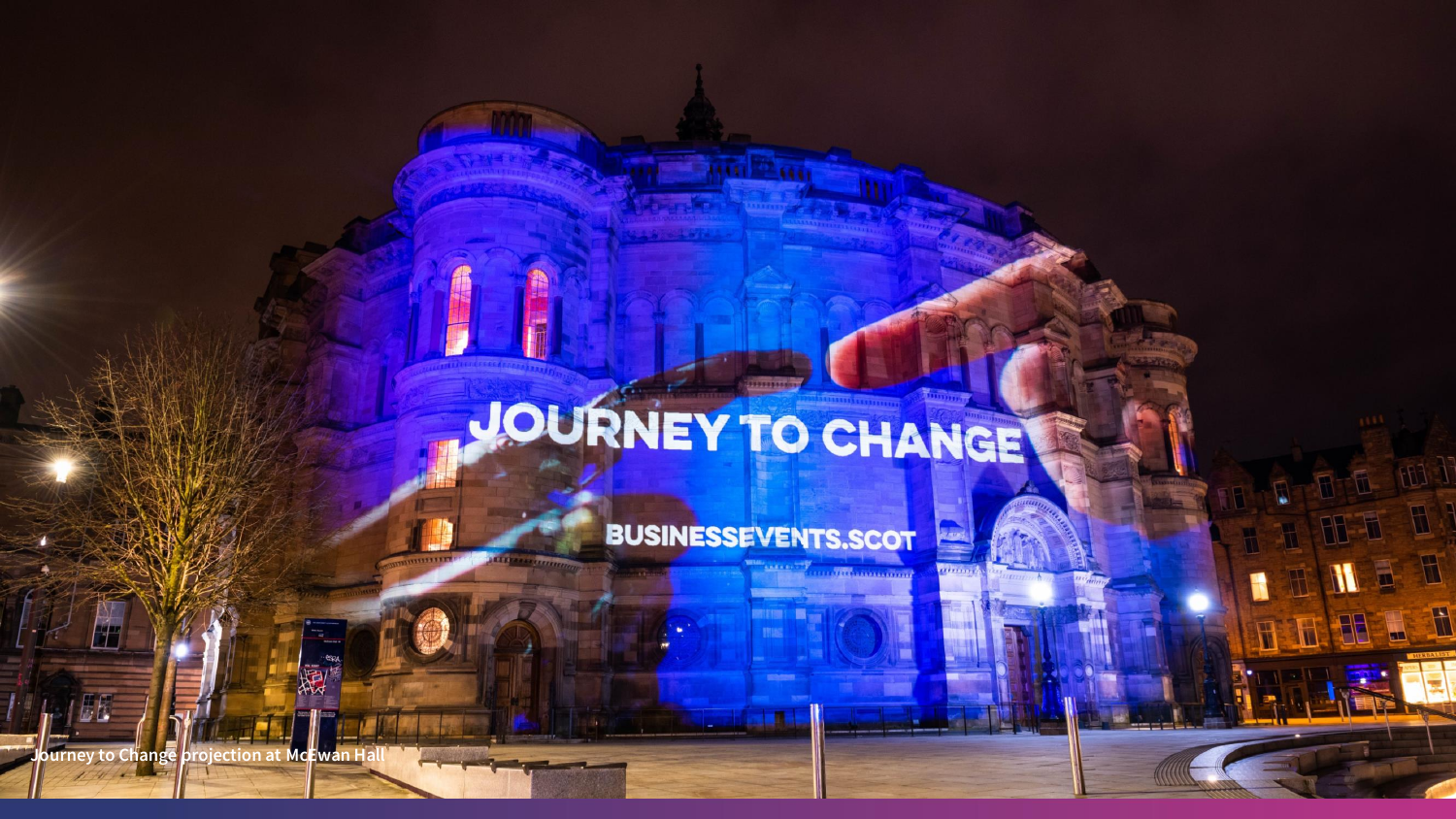# JOURNEY TO CHANGE

**BUSINESSEVENTS.SCOT** 

*<u>remains A</u>* 

 $\mathbb{R}$ 

<del>The communication</del>

**Journey to Change projection at McEwan Hall**

 $\sqrt{2}$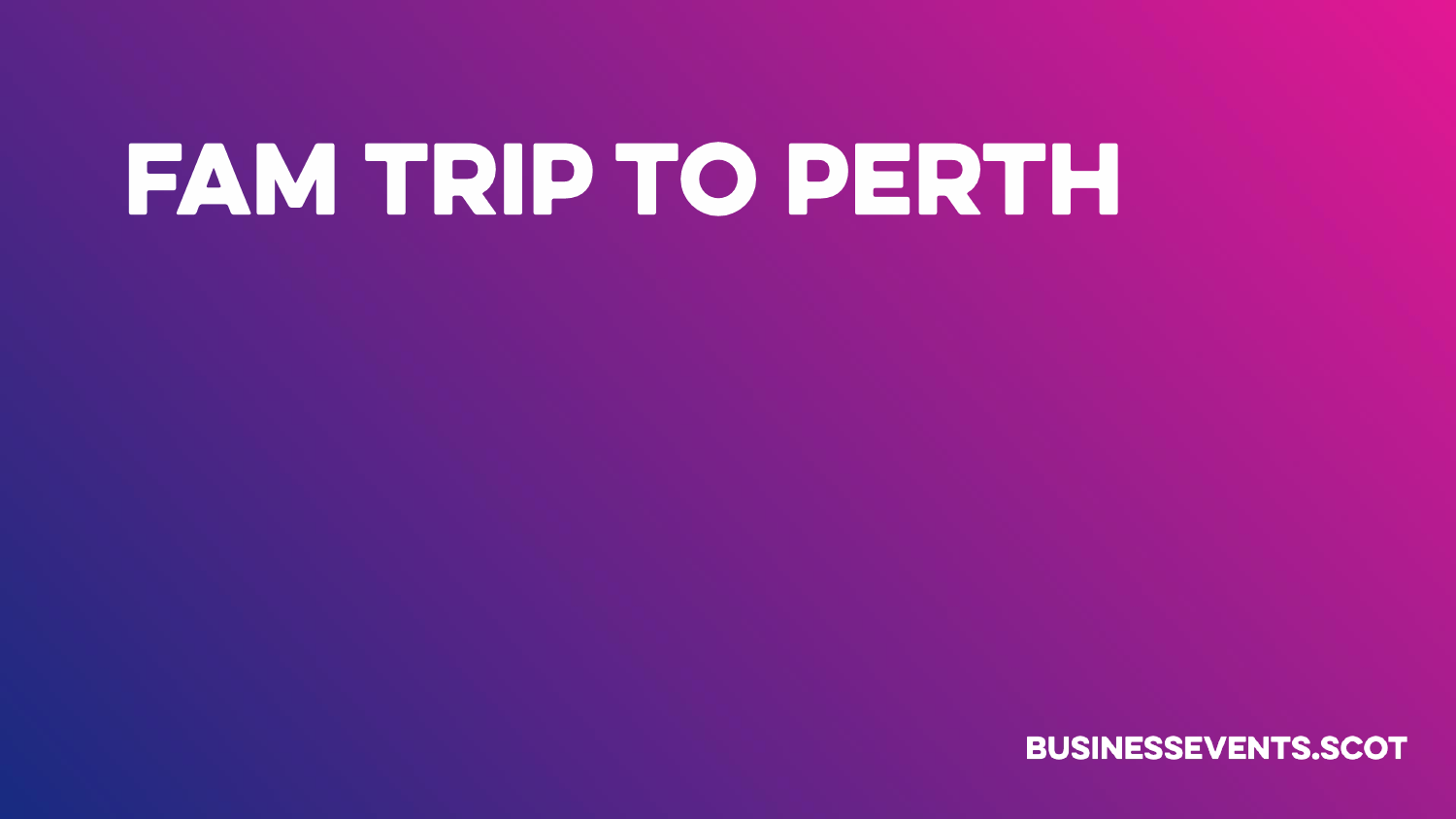## FAM TRIP TO PERTH

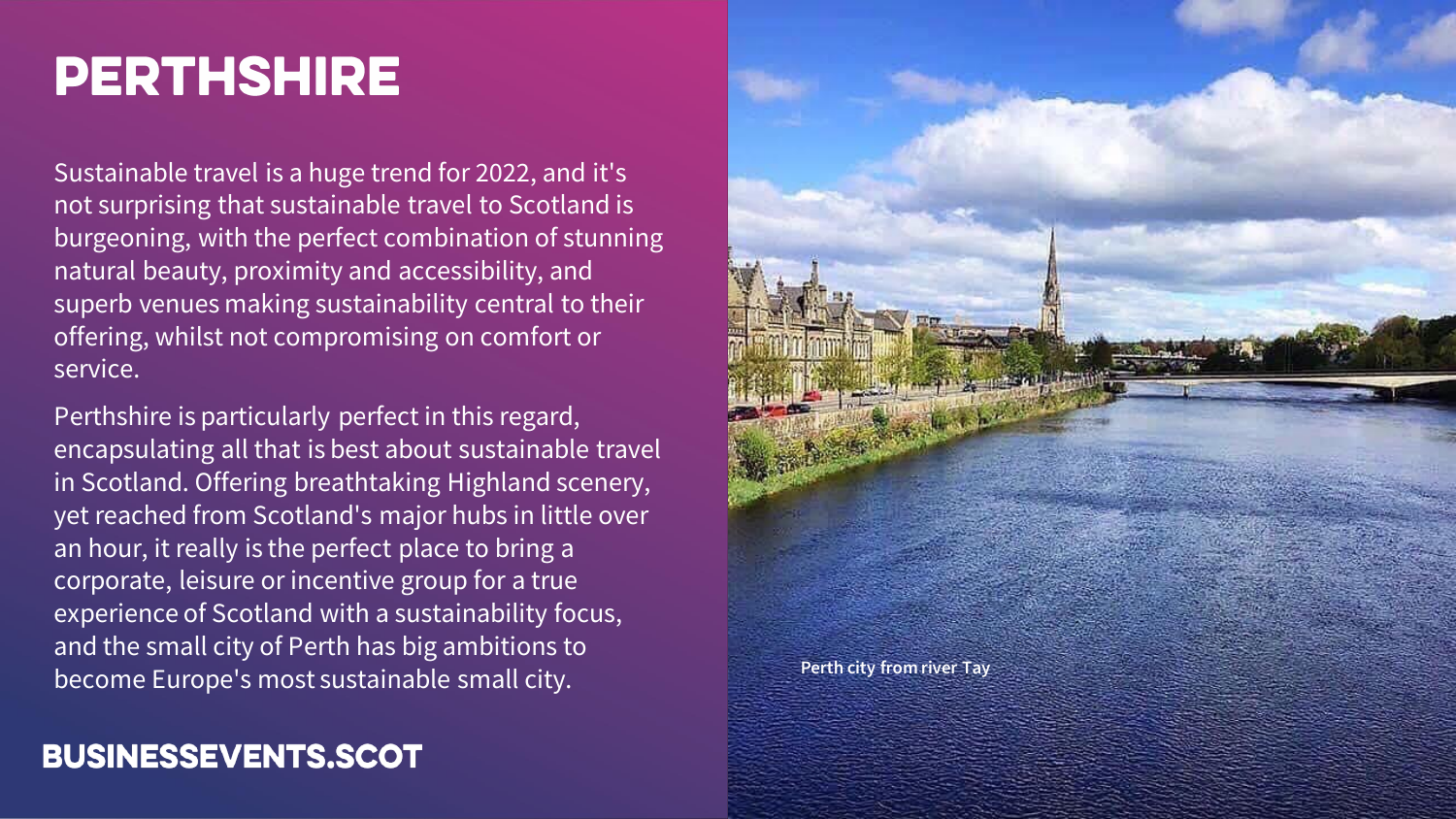## **PERTHSHIRE**

Sustainable travel is a huge trend for 2022, and it's not surprising that sustainable travel to Scotland is burgeoning, with the perfect combination of stunning natural beauty, proximity and accessibility, and superb venues making sustainability central to their offering, whilst not compromising on comfort or service.

Perthshire is particularly perfect in this regard, encapsulating all that is best about sustainable travel in Scotland. Offering breathtaking Highland scenery, yet reached from Scotland's major hubs in little over an hour, it really is the perfect place to bring a corporate, leisure or incentive group for a true experience of Scotland with a sustainability focus, and the small city of Perth has big ambitions to become Europe's most sustainable small city.